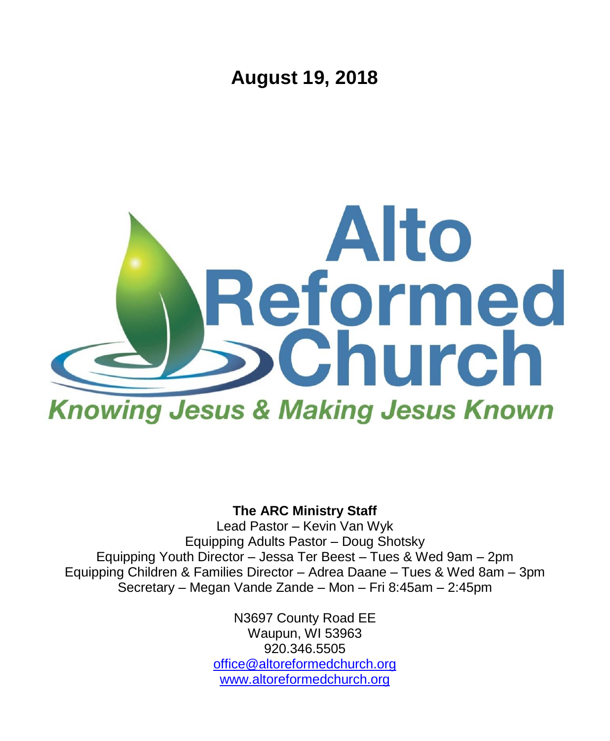**August 19, 2018**



### **The ARC Ministry Staff**

Lead Pastor – Kevin Van Wyk Equipping Adults Pastor – Doug Shotsky Equipping Youth Director – Jessa Ter Beest – Tues & Wed 9am – 2pm Equipping Children & Families Director – Adrea Daane – Tues & Wed 8am – 3pm Secretary – Megan Vande Zande – Mon – Fri 8:45am – 2:45pm

> N3697 County Road EE Waupun, WI 53963 920.346.5505 [office@altoreformedchurch.org](mailto:office@altoreformedchurch.org) [www.altoreformedchurch.org](http://www.altoreformedchurch.org/)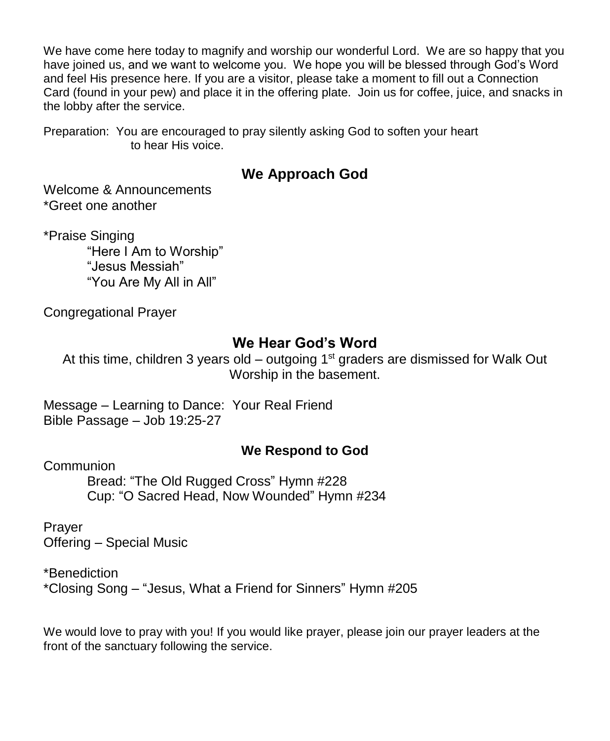We have come here today to magnify and worship our wonderful Lord. We are so happy that you have joined us, and we want to welcome you. We hope you will be blessed through God's Word and feel His presence here. If you are a visitor, please take a moment to fill out a Connection Card (found in your pew) and place it in the offering plate. Join us for coffee, juice, and snacks in the lobby after the service.

Preparation: You are encouraged to pray silently asking God to soften your heart to hear His voice.

### **We Approach God**

Welcome & Announcements \*Greet one another

\*Praise Singing "Here I Am to Worship"

"Jesus Messiah" "You Are My All in All"

Congregational Prayer

### **We Hear God's Word**

At this time, children 3 years old – outgoing  $1<sup>st</sup>$  graders are dismissed for Walk Out Worship in the basement.

Message – Learning to Dance: Your Real Friend Bible Passage – Job 19:25-27

### **We Respond to God**

**Communion** 

Bread: "The Old Rugged Cross" Hymn #228 Cup: "O Sacred Head, Now Wounded" Hymn #234

Prayer Offering – Special Music

\*Benediction \*Closing Song – "Jesus, What a Friend for Sinners" Hymn #205

We would love to pray with you! If you would like prayer, please join our prayer leaders at the front of the sanctuary following the service.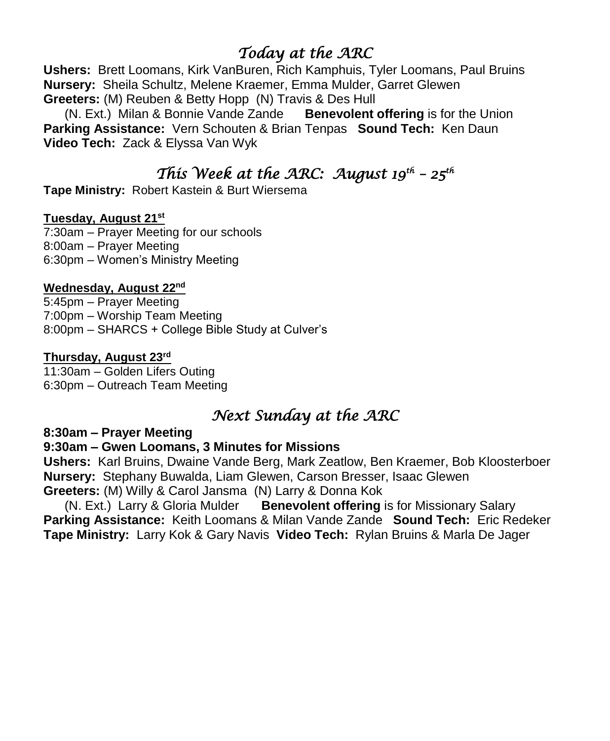## *Today at the ARC*

**Ushers:** Brett Loomans, Kirk VanBuren, Rich Kamphuis, Tyler Loomans, Paul Bruins **Nursery:** Sheila Schultz, Melene Kraemer, Emma Mulder, Garret Glewen **Greeters:** (M) Reuben & Betty Hopp (N) Travis & Des Hull

 (N. Ext.) Milan & Bonnie Vande Zande **Benevolent offering** is for the Union **Parking Assistance:** Vern Schouten & Brian Tenpas **Sound Tech:** Ken Daun **Video Tech:** Zack & Elyssa Van Wyk

## *This Week at the ARC: August 19th – 25th*

**Tape Ministry:** Robert Kastein & Burt Wiersema

#### **Tuesday, August 21st**

7:30am – Prayer Meeting for our schools 8:00am – Prayer Meeting 6:30pm – Women's Ministry Meeting

#### **Wednesday, August 22nd**

5:45pm – Prayer Meeting 7:00pm – Worship Team Meeting 8:00pm – SHARCS + College Bible Study at Culver's

#### **Thursday, August 23rd**

11:30am – Golden Lifers Outing 6:30pm – Outreach Team Meeting

### *Next Sunday at the ARC*

**8:30am – Prayer Meeting**

#### **9:30am – Gwen Loomans, 3 Minutes for Missions**

**Ushers:** Karl Bruins, Dwaine Vande Berg, Mark Zeatlow, Ben Kraemer, Bob Kloosterboer **Nursery:** Stephany Buwalda, Liam Glewen, Carson Bresser, Isaac Glewen **Greeters:** (M) Willy & Carol Jansma (N) Larry & Donna Kok

 (N. Ext.) Larry & Gloria Mulder **Benevolent offering** is for Missionary Salary **Parking Assistance:** Keith Loomans & Milan Vande Zande **Sound Tech:** Eric Redeker **Tape Ministry:** Larry Kok & Gary Navis **Video Tech:** Rylan Bruins & Marla De Jager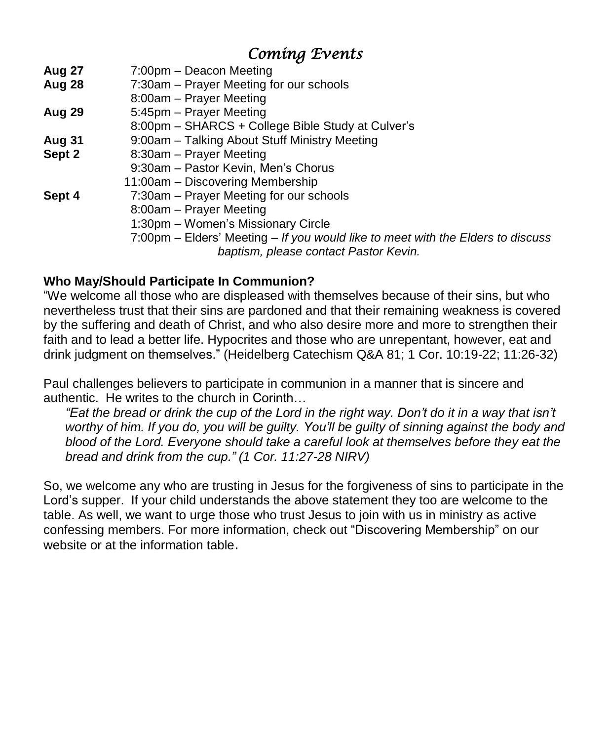## *Coming Events*

| 7:00pm – Deacon Meeting                                                         |
|---------------------------------------------------------------------------------|
| 7:30am – Prayer Meeting for our schools                                         |
| 8:00am - Prayer Meeting                                                         |
| 5:45pm – Prayer Meeting                                                         |
| 8:00pm - SHARCS + College Bible Study at Culver's                               |
| 9:00am - Talking About Stuff Ministry Meeting                                   |
| 8:30am – Prayer Meeting                                                         |
| 9:30am - Pastor Kevin, Men's Chorus                                             |
| 11:00am - Discovering Membership                                                |
| 7:30am - Prayer Meeting for our schools                                         |
| 8:00am - Prayer Meeting                                                         |
| 1:30pm - Women's Missionary Circle                                              |
| 7:00pm – Elders' Meeting – If you would like to meet with the Elders to discuss |
| baptism, please contact Pastor Kevin.                                           |
|                                                                                 |

### **Who May/Should Participate In Communion?**

"We welcome all those who are displeased with themselves because of their sins, but who nevertheless trust that their sins are pardoned and that their remaining weakness is covered by the suffering and death of Christ, and who also desire more and more to strengthen their faith and to lead a better life. Hypocrites and those who are unrepentant, however, eat and drink judgment on themselves." (Heidelberg Catechism Q&A 81; 1 Cor. 10:19-22; 11:26-32)

Paul challenges believers to participate in communion in a manner that is sincere and authentic. He writes to the church in Corinth…

"Eat the bread or drink the cup of the Lord in the right way. Don't do it in a way that isn't worthy of him. If you do, you will be quilty. You'll be quilty of sinning against the body and *blood of the Lord. Everyone should take a careful look at themselves before they eat the bread and drink from the cup." (1 Cor. 11:27-28 NIRV)*

So, we welcome any who are trusting in Jesus for the forgiveness of sins to participate in the Lord's supper. If your child understands the above statement they too are welcome to the table. As well, we want to urge those who trust Jesus to join with us in ministry as active confessing members. For more information, check out "Discovering Membership" on our website or at the information table.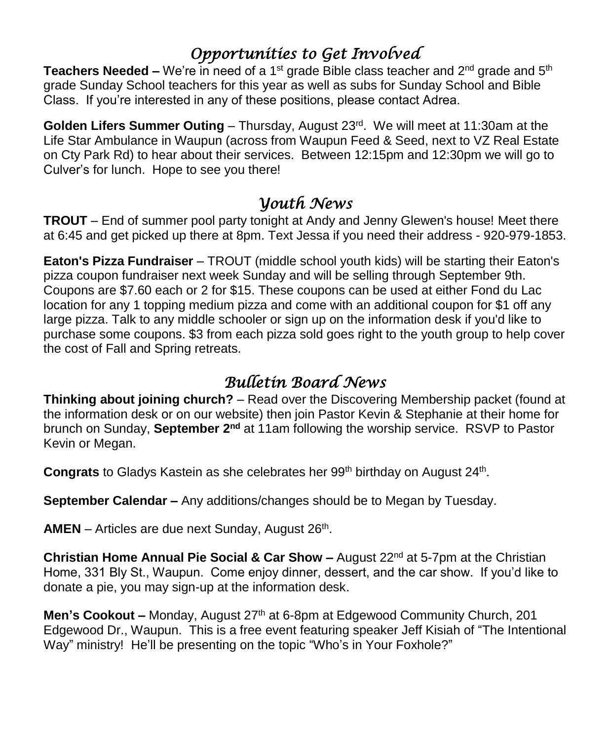## *Opportunities to Get Involved*

**Teachers Needed –** We're in need of a 1<sup>st</sup> grade Bible class teacher and 2<sup>nd</sup> grade and 5<sup>th</sup> grade Sunday School teachers for this year as well as subs for Sunday School and Bible Class. If you're interested in any of these positions, please contact Adrea.

Golden Lifers Summer Outing – Thursday, August 23<sup>rd</sup>. We will meet at 11:30am at the Life Star Ambulance in Waupun (across from Waupun Feed & Seed, next to VZ Real Estate on Cty Park Rd) to hear about their services. Between 12:15pm and 12:30pm we will go to Culver's for lunch. Hope to see you there!

## *Youth News*

**TROUT** – End of summer pool party tonight at Andy and Jenny Glewen's house! Meet there at 6:45 and get picked up there at 8pm. Text Jessa if you need their address - 920-979-1853.

**Eaton's Pizza Fundraiser** – TROUT (middle school youth kids) will be starting their Eaton's pizza coupon fundraiser next week Sunday and will be selling through September 9th. Coupons are \$7.60 each or 2 for \$15. These coupons can be used at either Fond du Lac location for any 1 topping medium pizza and come with an additional coupon for \$1 off any large pizza. Talk to any middle schooler or sign up on the information desk if you'd like to purchase some coupons. \$3 from each pizza sold goes right to the youth group to help cover the cost of Fall and Spring retreats.

# *Bulletin Board News*

**Thinking about joining church?** – Read over the Discovering Membership packet (found at the information desk or on our website) then join Pastor Kevin & Stephanie at their home for brunch on Sunday, **September 2<sup>nd</sup> at 11am following the worship service. RSVP to Pastor** Kevin or Megan.

Congrats to Gladys Kastein as she celebrates her 99<sup>th</sup> birthday on August 24<sup>th</sup>.

**September Calendar –** Any additions/changes should be to Megan by Tuesday.

AMEN - Articles are due next Sunday, August 26<sup>th</sup>.

**Christian Home Annual Pie Social & Car Show –** August 22<sup>nd</sup> at 5-7pm at the Christian Home, 331 Bly St., Waupun. Come enjoy dinner, dessert, and the car show. If you'd like to donate a pie, you may sign-up at the information desk.

**Men's Cookout –** Monday, August 27<sup>th</sup> at 6-8pm at Edgewood Community Church, 201 Edgewood Dr., Waupun. This is a free event featuring speaker Jeff Kisiah of "The Intentional Way" ministry! He'll be presenting on the topic "Who's in Your Foxhole?"